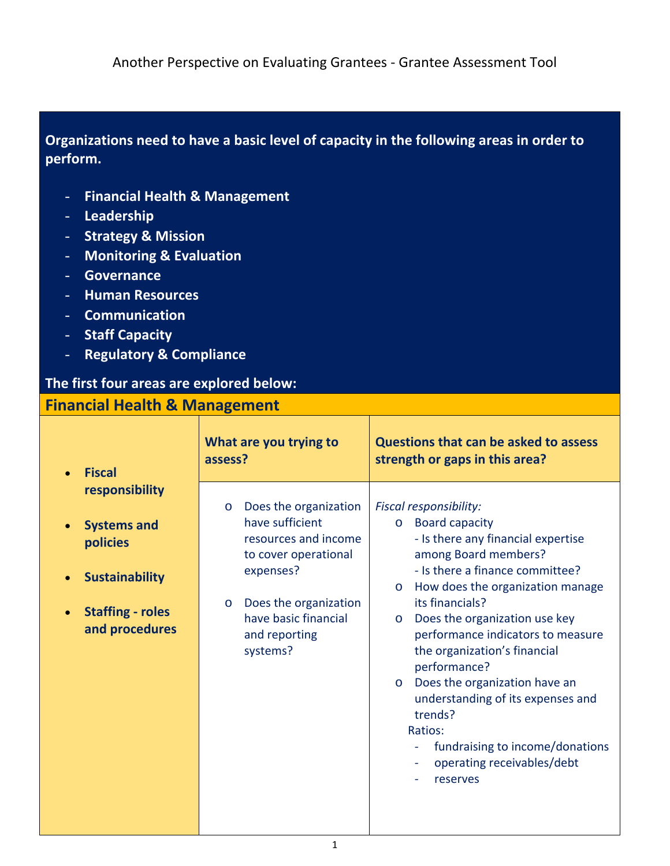**Organizations need to have a basic level of capacity in the following areas in order to perform.** 

- **Financial Health & Management**
- **Leadership**
- **Strategy & Mission**
- **Monitoring & Evaluation**
- **Governance**
- **Human Resources**
- **Communication**
- **Staff Capacity**
- **Regulatory & Compliance**

## **The first four areas are explored below:**

## **Financial Health & Management Fiscal responsibility Systems and policies Sustainability Staffing - roles and procedures What are you trying to assess? Questions that can be asked to assess strength or gaps in this area?**  o Does the organization have sufficient resources and income to cover operational expenses? o Does the organization have basic financial and reporting systems? *Fiscal responsibility:*  o Board capacity - Is there any financial expertise among Board members? - Is there a finance committee? o How does the organization manage its financials? o Does the organization use key performance indicators to measure the organization's financial performance? o Does the organization have an understanding of its expenses and trends? Ratios: - fundraising to income/donations operating receivables/debt **reserves**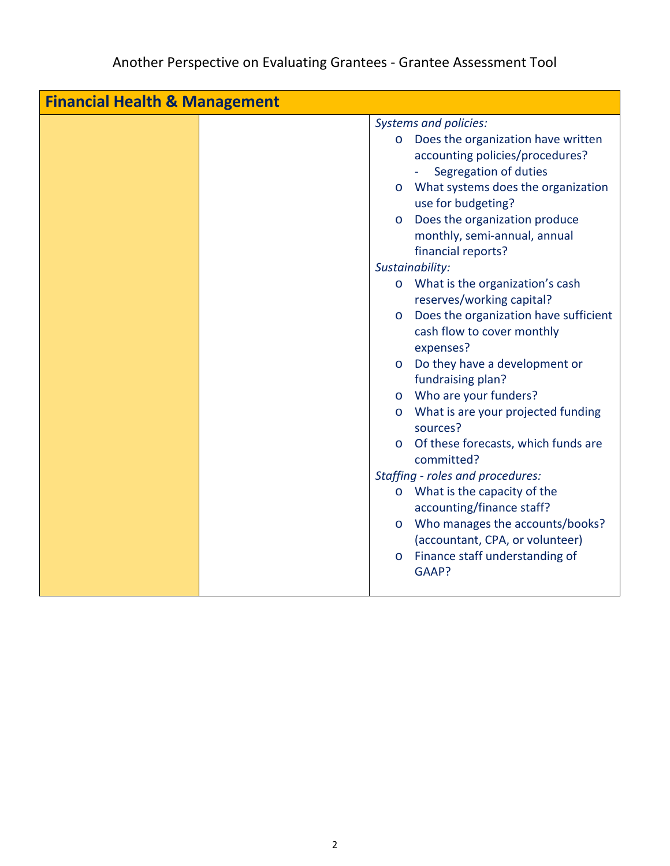| <b>Financial Health &amp; Management</b> |  |                              |                                       |  |
|------------------------------------------|--|------------------------------|---------------------------------------|--|
|                                          |  | <b>Systems and policies:</b> |                                       |  |
|                                          |  |                              | o Does the organization have written  |  |
|                                          |  |                              | accounting policies/procedures?       |  |
|                                          |  |                              | Segregation of duties                 |  |
|                                          |  | $\circ$                      | What systems does the organization    |  |
|                                          |  |                              | use for budgeting?                    |  |
|                                          |  | $\circ$                      | Does the organization produce         |  |
|                                          |  |                              | monthly, semi-annual, annual          |  |
|                                          |  |                              | financial reports?                    |  |
|                                          |  |                              | Sustainability:                       |  |
|                                          |  |                              | o What is the organization's cash     |  |
|                                          |  |                              | reserves/working capital?             |  |
|                                          |  | $\circ$                      | Does the organization have sufficient |  |
|                                          |  |                              | cash flow to cover monthly            |  |
|                                          |  |                              | expenses?                             |  |
|                                          |  | $\circ$                      | Do they have a development or         |  |
|                                          |  |                              | fundraising plan?                     |  |
|                                          |  | $\circ$                      | Who are your funders?                 |  |
|                                          |  | $\circ$                      | What is are your projected funding    |  |
|                                          |  |                              | sources?                              |  |
|                                          |  | $\circ$                      | Of these forecasts, which funds are   |  |
|                                          |  |                              | committed?                            |  |
|                                          |  |                              | Staffing - roles and procedures:      |  |
|                                          |  | $\circ$                      | What is the capacity of the           |  |
|                                          |  |                              | accounting/finance staff?             |  |
|                                          |  | $\circ$                      | Who manages the accounts/books?       |  |
|                                          |  |                              | (accountant, CPA, or volunteer)       |  |
|                                          |  | $\circ$                      | Finance staff understanding of        |  |
|                                          |  |                              | GAAP?                                 |  |
|                                          |  |                              |                                       |  |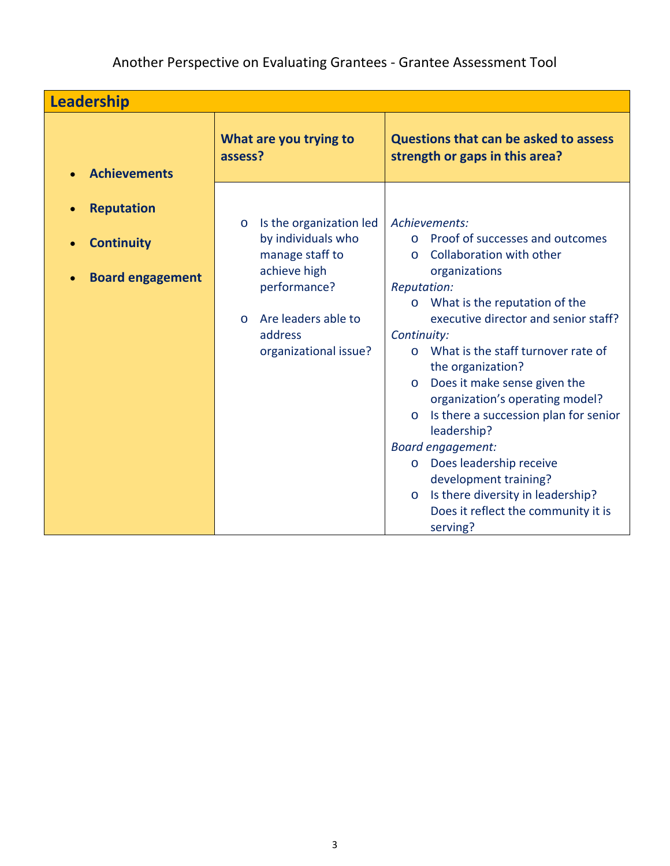Another Perspective on Evaluating Grantees - Grantee Assessment Tool

| Leadership                                                        |                                                                                                                                                                                    |                                                                                                                                                                                                                                                                                                                                                                                                                                                                                                                                    |  |
|-------------------------------------------------------------------|------------------------------------------------------------------------------------------------------------------------------------------------------------------------------------|------------------------------------------------------------------------------------------------------------------------------------------------------------------------------------------------------------------------------------------------------------------------------------------------------------------------------------------------------------------------------------------------------------------------------------------------------------------------------------------------------------------------------------|--|
| <b>Achievements</b>                                               | What are you trying to<br>assess?                                                                                                                                                  | <b>Questions that can be asked to assess</b><br>strength or gaps in this area?                                                                                                                                                                                                                                                                                                                                                                                                                                                     |  |
| <b>Reputation</b><br><b>Continuity</b><br><b>Board engagement</b> | Is the organization led<br>$\circ$<br>by individuals who<br>manage staff to<br>achieve high<br>performance?<br>Are leaders able to<br>$\Omega$<br>address<br>organizational issue? | Achievements:<br>Proof of successes and outcomes<br>Collaboration with other<br>$\Omega$<br>organizations<br><b>Reputation:</b><br>o What is the reputation of the<br>executive director and senior staff?<br>Continuity:<br>o What is the staff turnover rate of<br>the organization?<br>Does it make sense given the<br>$\circ$<br>organization's operating model?<br>Is there a succession plan for senior<br>$\circ$<br>leadership?<br><b>Board engagement:</b><br>Does leadership receive<br>$\circ$<br>development training? |  |
|                                                                   |                                                                                                                                                                                    | Is there diversity in leadership?<br>$\circ$<br>Does it reflect the community it is<br>serving?                                                                                                                                                                                                                                                                                                                                                                                                                                    |  |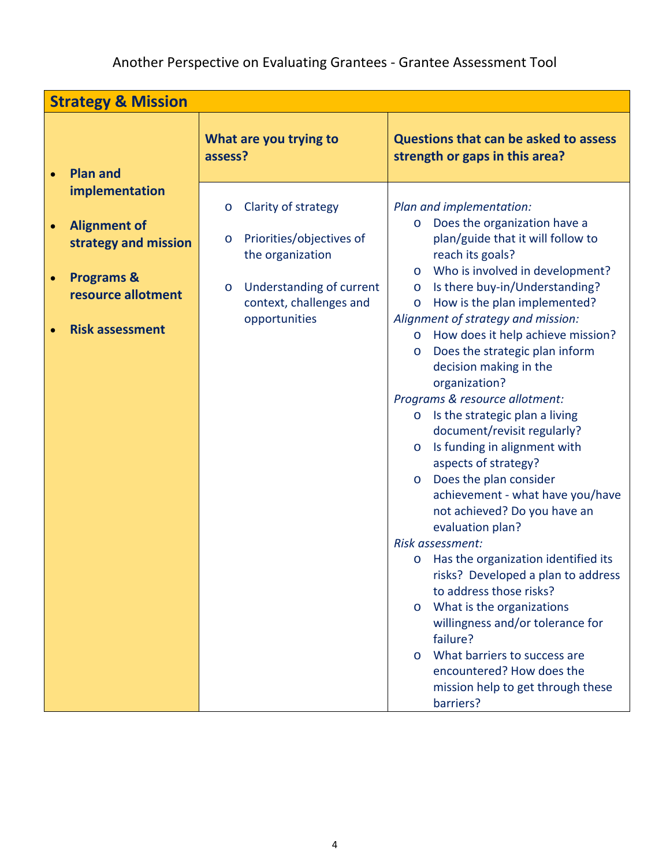| <b>Strategy &amp; Mission</b>                                                                                                          |                                                                                                                                                                              |                                                                                                                                                                                                                                                                                                                                                                                                                                                                                                                                                                                                                                                                                                                                                                                                              |  |  |
|----------------------------------------------------------------------------------------------------------------------------------------|------------------------------------------------------------------------------------------------------------------------------------------------------------------------------|--------------------------------------------------------------------------------------------------------------------------------------------------------------------------------------------------------------------------------------------------------------------------------------------------------------------------------------------------------------------------------------------------------------------------------------------------------------------------------------------------------------------------------------------------------------------------------------------------------------------------------------------------------------------------------------------------------------------------------------------------------------------------------------------------------------|--|--|
| <b>Plan and</b>                                                                                                                        | What are you trying to<br>assess?                                                                                                                                            | <b>Questions that can be asked to assess</b><br>strength or gaps in this area?                                                                                                                                                                                                                                                                                                                                                                                                                                                                                                                                                                                                                                                                                                                               |  |  |
| implementation<br><b>Alignment of</b><br>$\bullet$<br>strategy and mission<br><b>Programs &amp;</b><br>$\bullet$<br>resource allotment | Clarity of strategy<br>$\circ$<br>Priorities/objectives of<br>$\circ$<br>the organization<br>Understanding of current<br>$\circ$<br>context, challenges and<br>opportunities | Plan and implementation:<br>Does the organization have a<br>$\circ$<br>plan/guide that it will follow to<br>reach its goals?<br>Who is involved in development?<br>$\circ$<br>Is there buy-in/Understanding?<br>$\circ$<br>How is the plan implemented?<br>$\circ$<br>Alignment of strategy and mission:                                                                                                                                                                                                                                                                                                                                                                                                                                                                                                     |  |  |
| <b>Risk assessment</b>                                                                                                                 |                                                                                                                                                                              | How does it help achieve mission?<br>$\circ$<br>Does the strategic plan inform<br>$\circ$<br>decision making in the<br>organization?<br>Programs & resource allotment:<br>Is the strategic plan a living<br>$\circ$<br>document/revisit regularly?<br>Is funding in alignment with<br>$\circ$<br>aspects of strategy?<br>Does the plan consider<br>$\circ$<br>achievement - what have you/have<br>not achieved? Do you have an<br>evaluation plan?<br>Risk assessment:<br>Has the organization identified its<br>$\circ$<br>risks? Developed a plan to address<br>to address those risks?<br>What is the organizations<br>$\circ$<br>willingness and/or tolerance for<br>failure?<br>What barriers to success are<br>$\Omega$<br>encountered? How does the<br>mission help to get through these<br>barriers? |  |  |